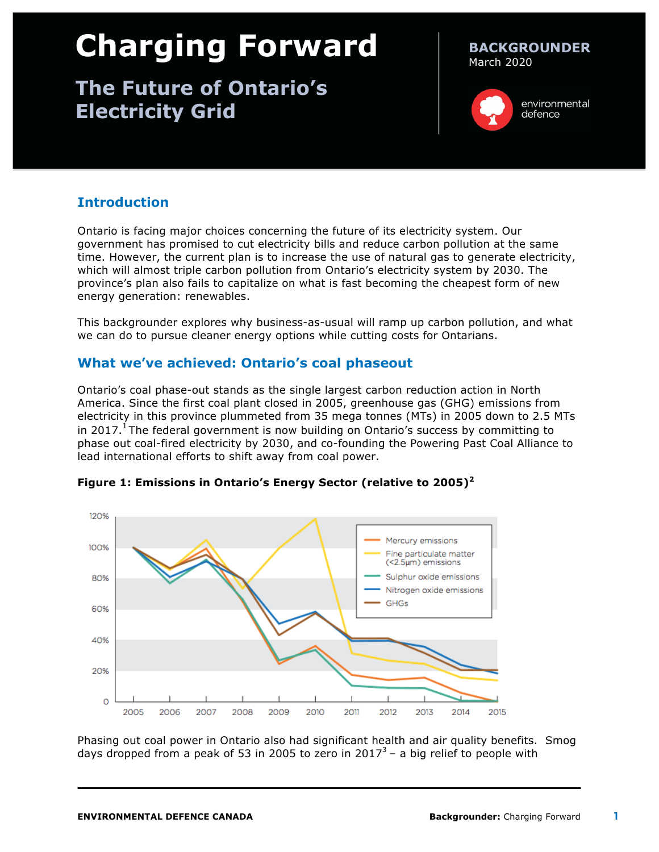# **Charging Forward**

# **The Future of Ontario's Electricity Grid**

#### **BACKGROUNDER** March 2020



environmental defence

# **Introduction**

Ontario is facing major choices concerning the future of its electricity system. Our government has promised to cut electricity bills and reduce carbon pollution at the same time. However, the current plan is to increase the use of natural gas to generate electricity, which will almost triple carbon pollution from Ontario's electricity system by 2030. The province's plan also fails to capitalize on what is fast becoming the cheapest form of new energy generation: renewables.

This backgrounder explores why business-as-usual will ramp up carbon pollution, and what we can do to pursue cleaner energy options while cutting costs for Ontarians.

# **What we've achieved: Ontario's coal phaseout**

Ontario's coal phase-out stands as the single largest carbon reduction action in North America. Since the first coal plant closed in 2005, greenhouse gas (GHG) emissions from electricity in this province plummeted from 35 mega tonnes (MTs) in 2005 down to 2.5 MTs in 2017.<sup>1</sup> The federal government is now building on Ontario's success by committing to phase out coal-fired electricity by 2030, and co-founding the Powering Past Coal Alliance to lead international efforts to shift away from coal power.



**Figure 1: Emissions in Ontario's Energy Sector (relative to 2005)<sup>2</sup>**

Phasing out coal power in Ontario also had significant health and air quality benefits. Smog days dropped from a peak of 53 in 2005 to zero in  $2017<sup>3</sup>$  – a big relief to people with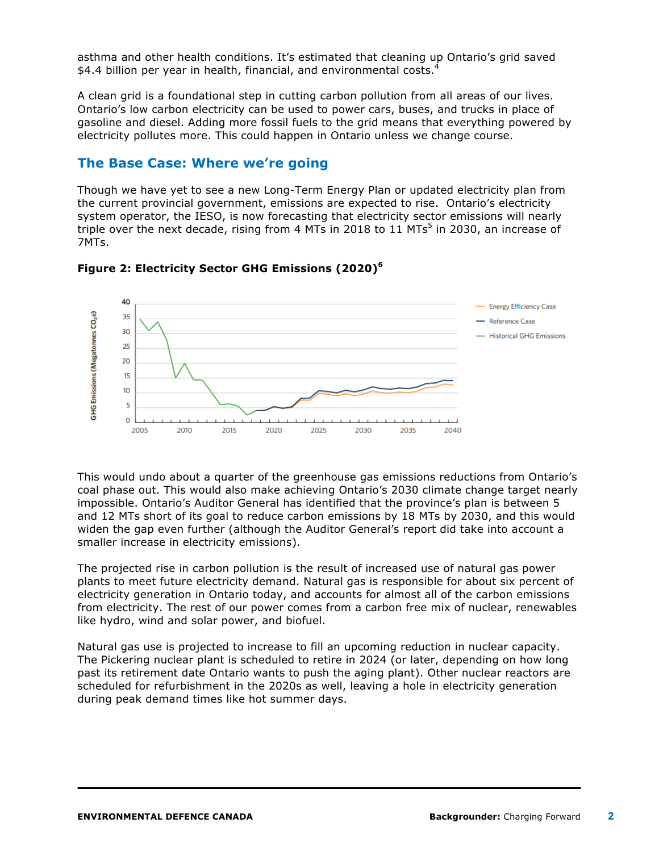asthma and other health conditions. It's estimated that cleaning up Ontario's grid saved \$4.4 billion per year in health, financial, and environmental costs. $4$ 

A clean grid is a foundational step in cutting carbon pollution from all areas of our lives. Ontario's low carbon electricity can be used to power cars, buses, and trucks in place of gasoline and diesel. Adding more fossil fuels to the grid means that everything powered by electricity pollutes more. This could happen in Ontario unless we change course.

## **The Base Case: Where we're going**

Though we have yet to see a new Long-Term Energy Plan or updated electricity plan from the current provincial government, emissions are expected to rise. Ontario's electricity system operator, the IESO, is now forecasting that electricity sector emissions will nearly triple over the next decade, rising from 4 MTs in 2018 to 11 MTs<sup>5</sup> in 2030, an increase of 7MTs.



#### **Figure 2: Electricity Sector GHG Emissions (2020)<sup>6</sup>**

This would undo about a quarter of the greenhouse gas emissions reductions from Ontario's coal phase out. This would also make achieving Ontario's 2030 climate change target nearly impossible. Ontario's Auditor General has identified that the province's plan is between 5 and 12 MTs short of its goal to reduce carbon emissions by 18 MTs by 2030, and this would widen the gap even further (although the Auditor General's report did take into account a smaller increase in electricity emissions).

The projected rise in carbon pollution is the result of increased use of natural gas power plants to meet future electricity demand. Natural gas is responsible for about six percent of electricity generation in Ontario today, and accounts for almost all of the carbon emissions from electricity. The rest of our power comes from a carbon free mix of nuclear, renewables like hydro, wind and solar power, and biofuel.

Natural gas use is projected to increase to fill an upcoming reduction in nuclear capacity. The Pickering nuclear plant is scheduled to retire in 2024 (or later, depending on how long past its retirement date Ontario wants to push the aging plant). Other nuclear reactors are scheduled for refurbishment in the 2020s as well, leaving a hole in electricity generation during peak demand times like hot summer days.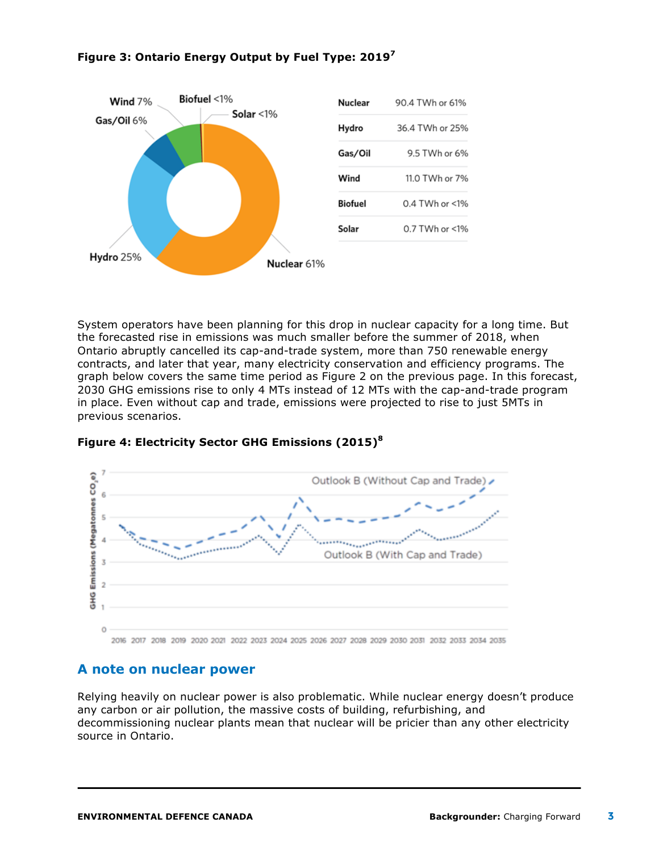

### **Figure 3: Ontario Energy Output by Fuel Type: 2019<sup>7</sup>**

System operators have been planning for this drop in nuclear capacity for a long time. But the forecasted rise in emissions was much smaller before the summer of 2018, when Ontario abruptly cancelled its cap-and-trade system, more than 750 renewable energy contracts, and later that year, many electricity conservation and efficiency programs. The graph below covers the same time period as Figure 2 on the previous page. In this forecast, 2030 GHG emissions rise to only 4 MTs instead of 12 MTs with the cap-and-trade program in place. Even without cap and trade, emissions were projected to rise to just 5MTs in previous scenarios.



#### **Figure 4: Electricity Sector GHG Emissions (2015)<sup>8</sup>**

2016 2017 2018 2019 2020 2021 2022 2023 2024 2025 2026 2027 2028 2029 2030 2031 2032 2033 2034 2035

# **A note on nuclear power**

Relying heavily on nuclear power is also problematic. While nuclear energy doesn't produce any carbon or air pollution, the massive costs of building, refurbishing, and decommissioning nuclear plants mean that nuclear will be pricier than any other electricity source in Ontario.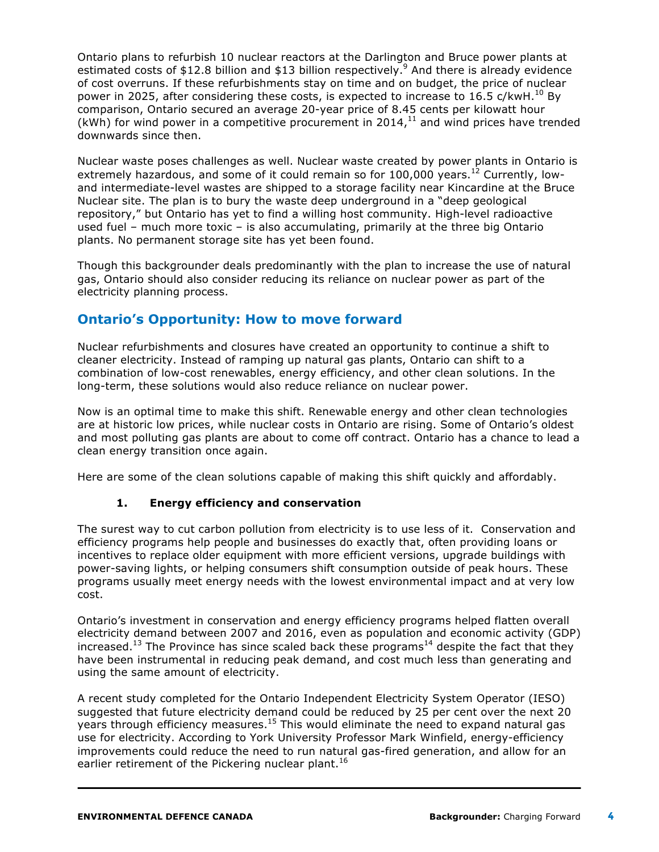Ontario plans to refurbish 10 nuclear reactors at the Darlington and Bruce power plants at estimated costs of \$12.8 billion and \$13 billion respectively.<sup>9</sup> And there is already evidence of cost overruns. If these refurbishments stay on time and on budget, the price of nuclear power in 2025, after considering these costs, is expected to increase to 16.5 c/kwH.<sup>10</sup> By comparison, Ontario secured an average 20-year price of 8.45 cents per kilowatt hour (kWh) for wind power in a competitive procurement in 2014, $^{11}$  and wind prices have trended downwards since then.

Nuclear waste poses challenges as well. Nuclear waste created by power plants in Ontario is extremely hazardous, and some of it could remain so for  $100,000$  years.<sup>12</sup> Currently, lowand intermediate-level wastes are shipped to a storage facility near Kincardine at the Bruce Nuclear site. The plan is to bury the waste deep underground in a "deep geological repository," but Ontario has yet to find a willing host community. High-level radioactive used fuel – much more toxic – is also accumulating, primarily at the three big Ontario plants. No permanent storage site has yet been found.

Though this backgrounder deals predominantly with the plan to increase the use of natural gas, Ontario should also consider reducing its reliance on nuclear power as part of the electricity planning process.

# **Ontario's Opportunity: How to move forward**

Nuclear refurbishments and closures have created an opportunity to continue a shift to cleaner electricity. Instead of ramping up natural gas plants, Ontario can shift to a combination of low-cost renewables, energy efficiency, and other clean solutions. In the long-term, these solutions would also reduce reliance on nuclear power.

Now is an optimal time to make this shift. Renewable energy and other clean technologies are at historic low prices, while nuclear costs in Ontario are rising. Some of Ontario's oldest and most polluting gas plants are about to come off contract. Ontario has a chance to lead a clean energy transition once again.

Here are some of the clean solutions capable of making this shift quickly and affordably.

### **1. Energy efficiency and conservation**

The surest way to cut carbon pollution from electricity is to use less of it. Conservation and efficiency programs help people and businesses do exactly that, often providing loans or incentives to replace older equipment with more efficient versions, upgrade buildings with power-saving lights, or helping consumers shift consumption outside of peak hours. These programs usually meet energy needs with the lowest environmental impact and at very low cost.

Ontario's investment in conservation and energy efficiency programs helped flatten overall electricity demand between 2007 and 2016, even as population and economic activity (GDP) increased.<sup>13</sup> The Province has since scaled back these programs<sup>14</sup> despite the fact that they have been instrumental in reducing peak demand, and cost much less than generating and using the same amount of electricity.

A recent study completed for the Ontario Independent Electricity System Operator (IESO) suggested that future electricity demand could be reduced by 25 per cent over the next 20 years through efficiency measures.<sup>15</sup> This would eliminate the need to expand natural gas use for electricity. According to York University Professor Mark Winfield, energy-efficiency improvements could reduce the need to run natural gas-fired generation, and allow for an earlier retirement of the Pickering nuclear plant.<sup>16</sup>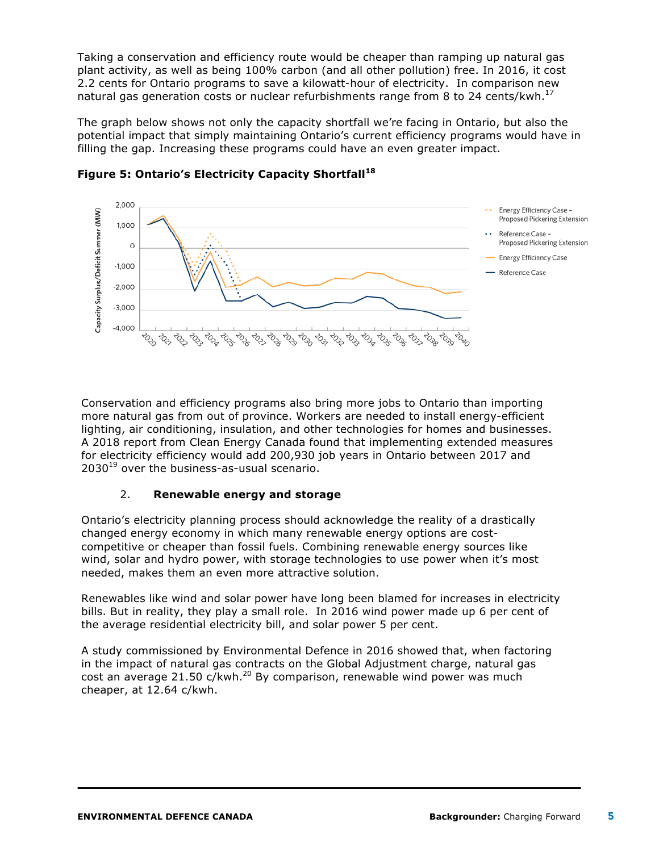Taking a conservation and efficiency route would be cheaper than ramping up natural gas plant activity, as well as being 100% carbon (and all other pollution) free. In 2016, it cost 2.2 cents for Ontario programs to save a kilowatt-hour of electricity. In comparison new natural gas generation costs or nuclear refurbishments range from 8 to 24 cents/kwh. $^{17}$ 

The graph below shows not only the capacity shortfall we're facing in Ontario, but also the potential impact that simply maintaining Ontario's current efficiency programs would have in filling the gap. Increasing these programs could have an even greater impact.



**Figure 5: Ontario's Electricity Capacity Shortfall<sup>18</sup>**

Conservation and efficiency programs also bring more jobs to Ontario than importing more natural gas from out of province. Workers are needed to install energy-efficient lighting, air conditioning, insulation, and other technologies for homes and businesses. A 2018 report from Clean Energy Canada found that implementing extended measures for electricity efficiency would add 200,930 job years in Ontario between 2017 and  $2030^{19}$  over the business-as-usual scenario.

### 2. **Renewable energy and storage**

Ontario's electricity planning process should acknowledge the reality of a drastically changed energy economy in which many renewable energy options are costcompetitive or cheaper than fossil fuels. Combining renewable energy sources like wind, solar and hydro power, with storage technologies to use power when it's most needed, makes them an even more attractive solution.

Renewables like wind and solar power have long been blamed for increases in electricity bills. But in reality, they play a small role. In 2016 wind power made up 6 per cent of the average residential electricity bill, and solar power 5 per cent.

A study commissioned by Environmental Defence in 2016 showed that, when factoring in the impact of natural gas contracts on the Global Adjustment charge, natural gas cost an average 21.50  $c/kwh.<sup>20</sup>$  By comparison, renewable wind power was much cheaper, at 12.64 c/kwh.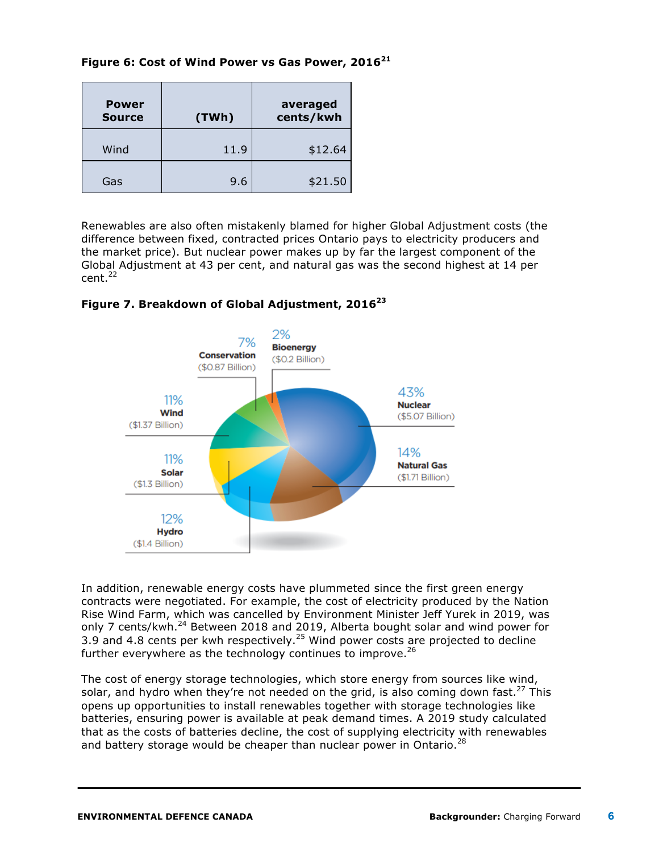**Figure 6: Cost of Wind Power vs Gas Power, 2016<sup>21</sup>**

| <b>Power</b><br><b>Source</b> | (TWh) | averaged<br>cents/kwh |
|-------------------------------|-------|-----------------------|
| Wind                          | 11.9  | \$12.64               |
| Gas                           | 9.6   | \$21.50               |

Renewables are also often mistakenly blamed for higher Global Adjustment costs (the difference between fixed, contracted prices Ontario pays to electricity producers and the market price). But nuclear power makes up by far the largest component of the Global Adjustment at 43 per cent, and natural gas was the second highest at 14 per  $cent<sup>22</sup>$ 



#### **Figure 7. Breakdown of Global Adjustment, 2016<sup>23</sup>**

In addition, renewable energy costs have plummeted since the first green energy contracts were negotiated. For example, the cost of electricity produced by the Nation Rise Wind Farm, which was cancelled by Environment Minister Jeff Yurek in 2019, was only 7 cents/kwh. $^{24}$  Between 2018 and 2019, Alberta bought solar and wind power for 3.9 and 4.8 cents per kwh respectively.<sup>25</sup> Wind power costs are projected to decline further everywhere as the technology continues to improve. $^{26}$ 

The cost of energy storage technologies, which store energy from sources like wind, solar, and hydro when they're not needed on the grid, is also coming down fast.<sup>27</sup> This opens up opportunities to install renewables together with storage technologies like batteries, ensuring power is available at peak demand times. A 2019 study calculated that as the costs of batteries decline, the cost of supplying electricity with renewables and battery storage would be cheaper than nuclear power in Ontario. $^{28}$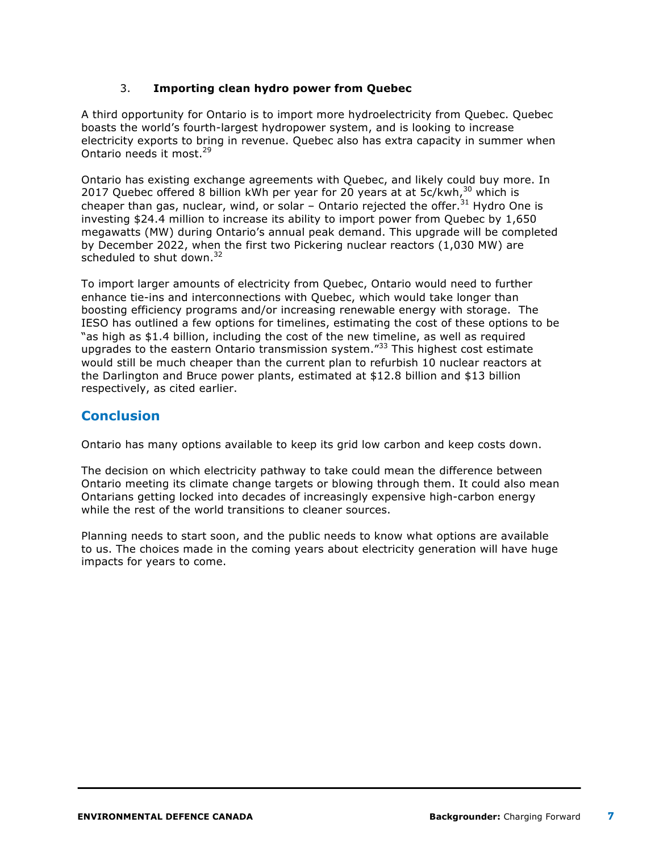### 3. **Importing clean hydro power from Quebec**

A third opportunity for Ontario is to import more hydroelectricity from Quebec. Quebec boasts the world's fourth-largest hydropower system, and is looking to increase electricity exports to bring in revenue. Quebec also has extra capacity in summer when Ontario needs it most.<sup>29</sup>

Ontario has existing exchange agreements with Quebec, and likely could buy more. In 2017 Quebec offered 8 billion kWh per year for 20 years at at  $5c/kwh<sup>30</sup>$  which is cheaper than gas, nuclear, wind, or solar  $-$  Ontario rejected the offer.<sup>31</sup> Hydro One is investing \$24.4 million to increase its ability to import power from Quebec by 1,650 megawatts (MW) during Ontario's annual peak demand. This upgrade will be completed by December 2022, when the first two Pickering nuclear reactors (1,030 MW) are scheduled to shut down. $32$ 

To import larger amounts of electricity from Quebec, Ontario would need to further enhance tie-ins and interconnections with Quebec, which would take longer than boosting efficiency programs and/or increasing renewable energy with storage. The IESO has outlined a few options for timelines, estimating the cost of these options to be "as high as \$1.4 billion, including the cost of the new timeline, as well as required upgrades to the eastern Ontario transmission system."<sup>33</sup> This highest cost estimate would still be much cheaper than the current plan to refurbish 10 nuclear reactors at the Darlington and Bruce power plants, estimated at \$12.8 billion and \$13 billion respectively, as cited earlier.

# **Conclusion**

Ontario has many options available to keep its grid low carbon and keep costs down.

The decision on which electricity pathway to take could mean the difference between Ontario meeting its climate change targets or blowing through them. It could also mean Ontarians getting locked into decades of increasingly expensive high-carbon energy while the rest of the world transitions to cleaner sources.

Planning needs to start soon, and the public needs to know what options are available to us. The choices made in the coming years about electricity generation will have huge impacts for years to come.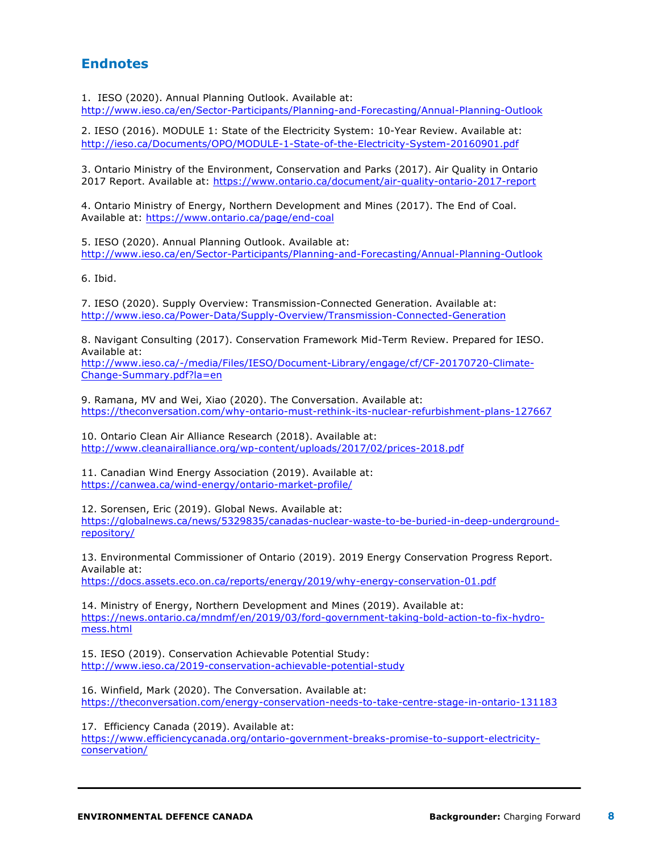# **Endnotes**

1. IESO (2020). Annual Planning Outlook. Available at: http://www.ieso.ca/en/Sector-Participants/Planning-and-Forecasting/Annual-Planning-Outlook

2. IESO (2016). MODULE 1: State of the Electricity System: 10-Year Review. Available at: http://ieso.ca/Documents/OPO/MODULE-1-State-of-the-Electricity-System-20160901.pdf

3. Ontario Ministry of the Environment, Conservation and Parks (2017). Air Quality in Ontario 2017 Report. Available at: https://www.ontario.ca/document/air-quality-ontario-2017-report

4. Ontario Ministry of Energy, Northern Development and Mines (2017). The End of Coal. Available at: https://www.ontario.ca/page/end-coal

5. IESO (2020). Annual Planning Outlook. Available at: http://www.ieso.ca/en/Sector-Participants/Planning-and-Forecasting/Annual-Planning-Outlook

6. Ibid.

7. IESO (2020). Supply Overview: Transmission-Connected Generation. Available at: http://www.ieso.ca/Power-Data/Supply-Overview/Transmission-Connected-Generation

8. Navigant Consulting (2017). Conservation Framework Mid-Term Review. Prepared for IESO. Available at:

http://www.ieso.ca/-/media/Files/IESO/Document-Library/engage/cf/CF-20170720-Climate-Change-Summary.pdf?la=en

9. Ramana, MV and Wei, Xiao (2020). The Conversation. Available at: https://theconversation.com/why-ontario-must-rethink-its-nuclear-refurbishment-plans-127667

10. Ontario Clean Air Alliance Research (2018). Available at: http://www.cleanairalliance.org/wp-content/uploads/2017/02/prices-2018.pdf

11. Canadian Wind Energy Association (2019). Available at: https://canwea.ca/wind-energy/ontario-market-profile/

12. Sorensen, Eric (2019). Global News. Available at:

https://globalnews.ca/news/5329835/canadas-nuclear-waste-to-be-buried-in-deep-undergroundrepository/

13. Environmental Commissioner of Ontario (2019). 2019 Energy Conservation Progress Report. Available at: https://docs.assets.eco.on.ca/reports/energy/2019/why-energy-conservation-01.pdf

14. Ministry of Energy, Northern Development and Mines (2019). Available at: https://news.ontario.ca/mndmf/en/2019/03/ford-government-taking-bold-action-to-fix-hydromess.html

15. IESO (2019). Conservation Achievable Potential Study: http://www.ieso.ca/2019-conservation-achievable-potential-study

16. Winfield, Mark (2020). The Conversation. Available at: https://theconversation.com/energy-conservation-needs-to-take-centre-stage-in-ontario-131183

17. Efficiency Canada (2019). Available at: https://www.efficiencycanada.org/ontario-government-breaks-promise-to-support-electricityconservation/